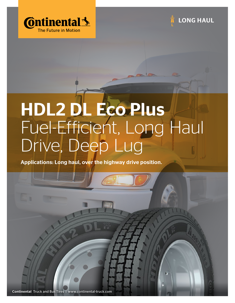



## HDL2 DL Eco Plus Fuel-Efficient, Long Haul Drive, Deep Lug

Applications: Long haul, over the highway drive position.

Continental Truck and Bus Tires | www.continental-truck.com